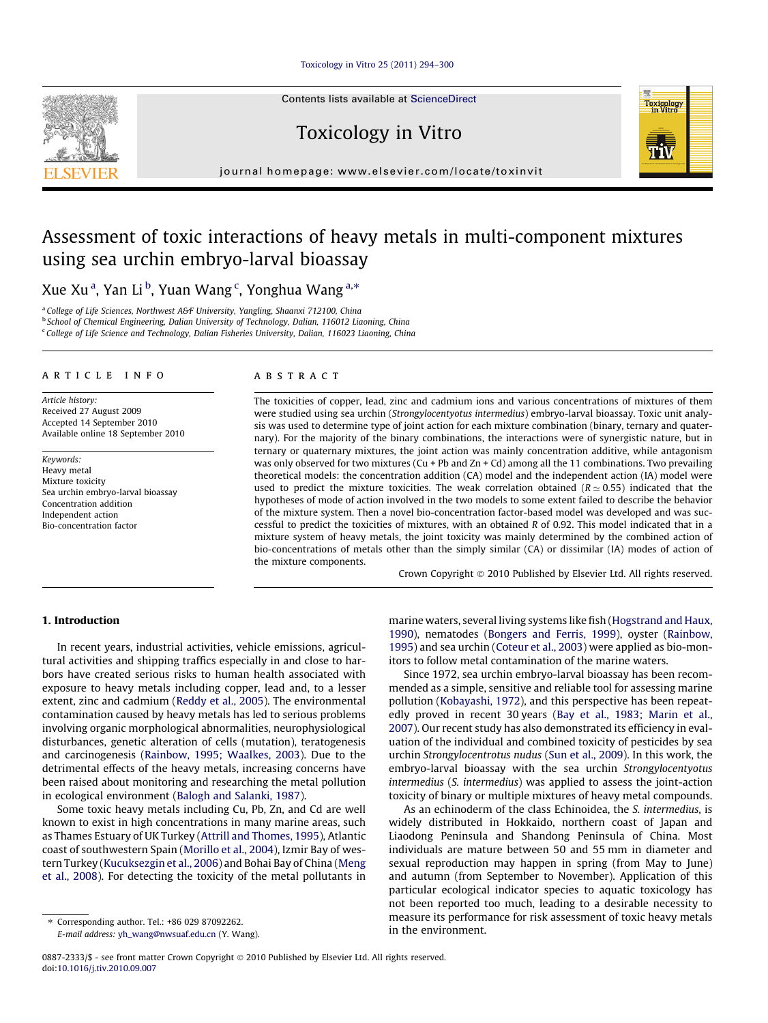## [Toxicology in Vitro 25 \(2011\) 294–300](http://dx.doi.org/10.1016/j.tiv.2010.09.007)

Contents lists available at [ScienceDirect](http://www.sciencedirect.com/science/journal/08872333)

Toxicology in Vitro



# Assessment of toxic interactions of heavy metals in multi-component mixtures using sea urchin embryo-larval bioassay

Xue Xu $^{\rm a}$ , Yan Li $^{\rm b}$ , Yuan Wang $^{\rm c}$ , Yonghua Wang $^{\rm a,*}$ 

<sup>a</sup> College of Life Sciences, Northwest A&F University, Yangling, Shaanxi 712100, China

<sup>b</sup> School of Chemical Engineering, Dalian University of Technology, Dalian, 116012 Liaoning, China

<sup>c</sup> College of Life Science and Technology, Dalian Fisheries University, Dalian, 116023 Liaoning, China

## article info

Article history: Received 27 August 2009 Accepted 14 September 2010 Available online 18 September 2010

Keywords: Heavy metal Mixture toxicity Sea urchin embryo-larval bioassay Concentration addition Independent action Bio-concentration factor

#### **ABSTRACT**

The toxicities of copper, lead, zinc and cadmium ions and various concentrations of mixtures of them were studied using sea urchin (Strongylocentyotus intermedius) embryo-larval bioassay. Toxic unit analysis was used to determine type of joint action for each mixture combination (binary, ternary and quaternary). For the majority of the binary combinations, the interactions were of synergistic nature, but in ternary or quaternary mixtures, the joint action was mainly concentration additive, while antagonism was only observed for two mixtures ( $Cu$  + Pb and  $Zn$  + Cd) among all the 11 combinations. Two prevailing theoretical models: the concentration addition (CA) model and the independent action (IA) model were used to predict the mixture toxicities. The weak correlation obtained ( $R \approx 0.55$ ) indicated that the hypotheses of mode of action involved in the two models to some extent failed to describe the behavior of the mixture system. Then a novel bio-concentration factor-based model was developed and was successful to predict the toxicities of mixtures, with an obtained R of 0.92. This model indicated that in a mixture system of heavy metals, the joint toxicity was mainly determined by the combined action of bio-concentrations of metals other than the simply similar (CA) or dissimilar (IA) modes of action of the mixture components.

Crown Copyright © 2010 Published by Elsevier Ltd. All rights reserved.

Toxicology<br>in Vitro

## 1. Introduction

In recent years, industrial activities, vehicle emissions, agricultural activities and shipping traffics especially in and close to harbors have created serious risks to human health associated with exposure to heavy metals including copper, lead and, to a lesser extent, zinc and cadmium ([Reddy et al., 2005\)](#page-6-0). The environmental contamination caused by heavy metals has led to serious problems involving organic morphological abnormalities, neurophysiological disturbances, genetic alteration of cells (mutation), teratogenesis and carcinogenesis [\(Rainbow, 1995; Waalkes, 2003\)](#page-6-0). Due to the detrimental effects of the heavy metals, increasing concerns have been raised about monitoring and researching the metal pollution in ecological environment [\(Balogh and Salanki, 1987\)](#page-6-0).

Some toxic heavy metals including Cu, Pb, Zn, and Cd are well known to exist in high concentrations in many marine areas, such as Thames Estuary of UK Turkey ([Attrill and Thomes, 1995\)](#page-6-0), Atlantic coast of southwestern Spain [\(Morillo et al., 2004](#page-6-0)), Izmir Bay of western Turkey ([Kucuksezgin et al., 2006](#page-6-0)) and Bohai Bay of China [\(Meng](#page-6-0) [et al., 2008\)](#page-6-0). For detecting the toxicity of the metal pollutants in

E-mail address: [yh\\_wang@nwsuaf.edu.cn](mailto:yh_wang@nwsuaf.edu.cn) (Y. Wang).

marine waters, several living systems like fish ([Hogstrand and Haux,](#page-6-0) [1990\)](#page-6-0), nematodes ([Bongers and Ferris, 1999\)](#page-6-0), oyster ([Rainbow,](#page-6-0) [1995\)](#page-6-0) and sea urchin ([Coteur et al., 2003](#page-6-0)) were applied as bio-monitors to follow metal contamination of the marine waters.

Since 1972, sea urchin embryo-larval bioassay has been recommended as a simple, sensitive and reliable tool for assessing marine pollution ([Kobayashi, 1972\)](#page-6-0), and this perspective has been repeatedly proved in recent 30 years [\(Bay et al., 1983; Marin et al.,](#page-6-0) [2007\)](#page-6-0). Our recent study has also demonstrated its efficiency in evaluation of the individual and combined toxicity of pesticides by sea urchin Strongylocentrotus nudus ([Sun et al., 2009](#page-6-0)). In this work, the embryo-larval bioassay with the sea urchin Strongylocentyotus intermedius (S. intermedius) was applied to assess the joint-action toxicity of binary or multiple mixtures of heavy metal compounds.

As an echinoderm of the class Echinoidea, the S. intermedius, is widely distributed in Hokkaido, northern coast of Japan and Liaodong Peninsula and Shandong Peninsula of China. Most individuals are mature between 50 and 55 mm in diameter and sexual reproduction may happen in spring (from May to June) and autumn (from September to November). Application of this particular ecological indicator species to aquatic toxicology has not been reported too much, leading to a desirable necessity to measure its performance for risk assessment of toxic heavy metals in the environment.



<sup>⇑</sup> Corresponding author. Tel.: +86 029 87092262.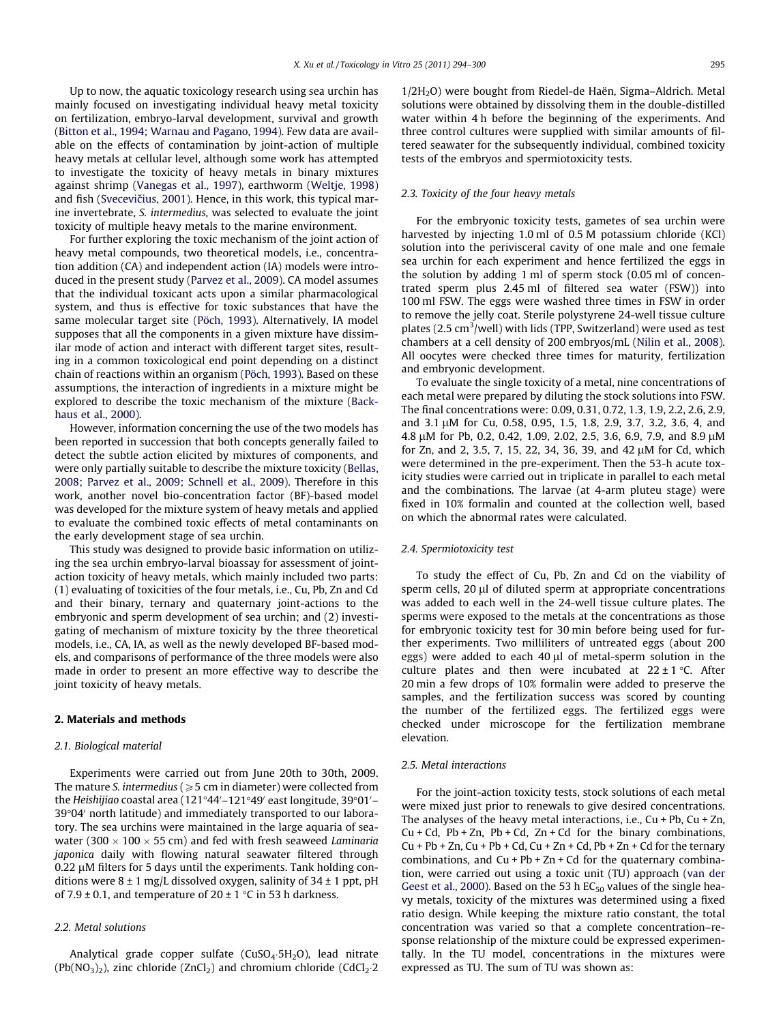Up to now, the aquatic toxicology research using sea urchin has mainly focused on investigating individual heavy metal toxicity on fertilization, embryo-larval development, survival and growth ([Bitton et al., 1994; Warnau and Pagano, 1994](#page-6-0)). Few data are available on the effects of contamination by joint-action of multiple heavy metals at cellular level, although some work has attempted to investigate the toxicity of heavy metals in binary mixtures against shrimp [\(Vanegas et al., 1997](#page-6-0)), earthworm [\(Weltje, 1998\)](#page-6-0) and fish (Svecevičius, 2001). Hence, in this work, this typical marine invertebrate, S. intermedius, was selected to evaluate the joint toxicity of multiple heavy metals to the marine environment.

For further exploring the toxic mechanism of the joint action of heavy metal compounds, two theoretical models, i.e., concentration addition (CA) and independent action (IA) models were introduced in the present study [\(Parvez et al., 2009](#page-6-0)). CA model assumes that the individual toxicant acts upon a similar pharmacological system, and thus is effective for toxic substances that have the same molecular target site [\(Pöch, 1993\)](#page-6-0). Alternatively, IA model supposes that all the components in a given mixture have dissimilar mode of action and interact with different target sites, resulting in a common toxicological end point depending on a distinct chain of reactions within an organism ([Pöch, 1993\)](#page-6-0). Based on these assumptions, the interaction of ingredients in a mixture might be explored to describe the toxic mechanism of the mixture ([Back](#page-6-0)[haus et al., 2000\)](#page-6-0).

However, information concerning the use of the two models has been reported in succession that both concepts generally failed to detect the subtle action elicited by mixtures of components, and were only partially suitable to describe the mixture toxicity ([Bellas,](#page-6-0) [2008; Parvez et al., 2009; Schnell et al., 2009](#page-6-0)). Therefore in this work, another novel bio-concentration factor (BF)-based model was developed for the mixture system of heavy metals and applied to evaluate the combined toxic effects of metal contaminants on the early development stage of sea urchin.

This study was designed to provide basic information on utilizing the sea urchin embryo-larval bioassay for assessment of jointaction toxicity of heavy metals, which mainly included two parts: (1) evaluating of toxicities of the four metals, i.e., Cu, Pb, Zn and Cd and their binary, ternary and quaternary joint-actions to the embryonic and sperm development of sea urchin; and (2) investigating of mechanism of mixture toxicity by the three theoretical models, i.e., CA, IA, as well as the newly developed BF-based models, and comparisons of performance of the three models were also made in order to present an more effective way to describe the joint toxicity of heavy metals.

#### 2. Materials and methods

#### 2.1. Biological material

Experiments were carried out from June 20th to 30th, 2009. The mature S. intermedius ( $\geqslant$  5 cm in diameter) were collected from the Heishijiao coastal area (121°44′–121°49′ east longitude, 39°01′–  $39^{\circ}04'$  north latitude) and immediately transported to our laboratory. The sea urchins were maintained in the large aquaria of seawater (300  $\times$  100  $\times$  55 cm) and fed with fresh seaweed Laminaria japonica daily with flowing natural seawater filtered through  $0.22 \mu$ M filters for 5 days until the experiments. Tank holding conditions were  $8 \pm 1$  mg/L dissolved oxygen, salinity of  $34 \pm 1$  ppt, pH of 7.9  $\pm$  0.1, and temperature of 20  $\pm$  1 °C in 53 h darkness.

## 2.2. Metal solutions

Analytical grade copper sulfate  $(CuSO<sub>4</sub>·5H<sub>2</sub>O)$ , lead nitrate  $(Pb(NO<sub>3</sub>)<sub>2</sub>)$ , zinc chloride (ZnCl<sub>2</sub>) and chromium chloride (CdCl<sub>2</sub>·2 1/2H2O) were bought from Riedel-de Haën, Sigma–Aldrich. Metal solutions were obtained by dissolving them in the double-distilled water within 4 h before the beginning of the experiments. And three control cultures were supplied with similar amounts of filtered seawater for the subsequently individual, combined toxicity tests of the embryos and spermiotoxicity tests.

## 2.3. Toxicity of the four heavy metals

For the embryonic toxicity tests, gametes of sea urchin were harvested by injecting 1.0 ml of 0.5 M potassium chloride (KCl) solution into the perivisceral cavity of one male and one female sea urchin for each experiment and hence fertilized the eggs in the solution by adding 1 ml of sperm stock (0.05 ml of concentrated sperm plus 2.45 ml of filtered sea water (FSW)) into 100 ml FSW. The eggs were washed three times in FSW in order to remove the jelly coat. Sterile polystyrene 24-well tissue culture plates (2.5 cm<sup>3</sup>/well) with lids (TPP, Switzerland) were used as test chambers at a cell density of 200 embryos/mL [\(Nilin et al., 2008\)](#page-6-0). All oocytes were checked three times for maturity, fertilization and embryonic development.

To evaluate the single toxicity of a metal, nine concentrations of each metal were prepared by diluting the stock solutions into FSW. The final concentrations were: 0.09, 0.31, 0.72, 1.3, 1.9, 2.2, 2.6, 2.9, and 3.1 µM for Cu, 0.58, 0.95, 1.5, 1.8, 2.9, 3.7, 3.2, 3.6, 4, and 4.8 µM for Pb, 0.2, 0.42, 1.09, 2.02, 2.5, 3.6, 6.9, 7.9, and 8.9 µM for Zn, and 2, 3.5, 7, 15, 22, 34, 36, 39, and 42 µM for Cd, which were determined in the pre-experiment. Then the 53-h acute toxicity studies were carried out in triplicate in parallel to each metal and the combinations. The larvae (at 4-arm pluteu stage) were fixed in 10% formalin and counted at the collection well, based on which the abnormal rates were calculated.

### 2.4. Spermiotoxicity test

To study the effect of Cu, Pb, Zn and Cd on the viability of sperm cells,  $20 \mu l$  of diluted sperm at appropriate concentrations was added to each well in the 24-well tissue culture plates. The sperms were exposed to the metals at the concentrations as those for embryonic toxicity test for 30 min before being used for further experiments. Two milliliters of untreated eggs (about 200 eggs) were added to each 40  $\mu$ l of metal-sperm solution in the culture plates and then were incubated at  $22 \pm 1$  °C. After 20 min a few drops of 10% formalin were added to preserve the samples, and the fertilization success was scored by counting the number of the fertilized eggs. The fertilized eggs were checked under microscope for the fertilization membrane elevation.

#### 2.5. Metal interactions

For the joint-action toxicity tests, stock solutions of each metal were mixed just prior to renewals to give desired concentrations. The analyses of the heavy metal interactions, i.e.,  $Cu + Pb$ ,  $Cu + Zn$ ,  $Cu + Cd$ ,  $Pb + Zn$ ,  $Pb + Cd$ ,  $Zn + Cd$  for the binary combinations,  $Cu + Pb + Zn$ ,  $Cu + Pb + Cd$ ,  $Cu + Zn + Cd$ ,  $Pb + Zn + Cd$  for the ternary combinations, and  $Cu + Pb + Zn + Cd$  for the quaternary combination, were carried out using a toxic unit (TU) approach [\(van der](#page-6-0) [Geest et al., 2000\)](#page-6-0). Based on the 53 h  $EC_{50}$  values of the single heavy metals, toxicity of the mixtures was determined using a fixed ratio design. While keeping the mixture ratio constant, the total concentration was varied so that a complete concentration–response relationship of the mixture could be expressed experimentally. In the TU model, concentrations in the mixtures were expressed as TU. The sum of TU was shown as: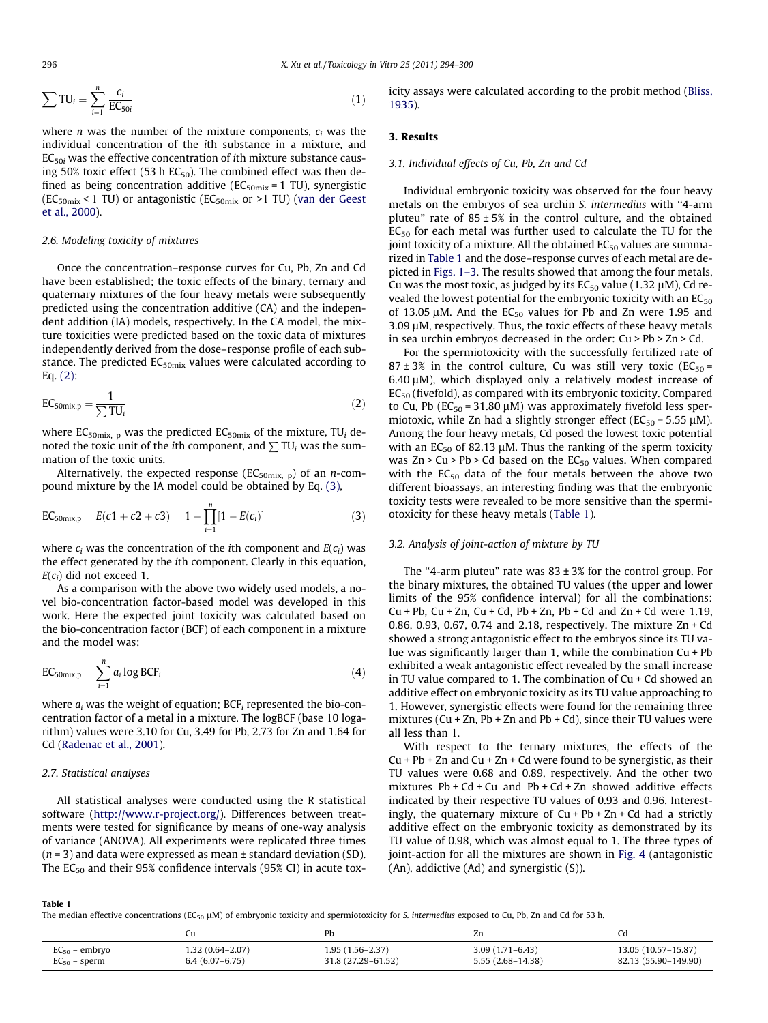$$
\sum TU_i = \sum_{i=1}^n \frac{c_i}{EC_{50i}} \tag{1}
$$

where *n* was the number of the mixture components,  $c_i$  was the individual concentration of the ith substance in a mixture, and  $EC<sub>50i</sub>$  was the effective concentration of ith mixture substance causing 50% toxic effect (53 h  $EC_{50}$ ). The combined effect was then defined as being concentration additive ( $EC_{50mix}$  = 1 TU), synergistic  $(EC_{50mix}$  < 1 TU) or antagonistic  $(EC_{50mix}$  or >1 TU) ([van der Geest](#page-6-0) [et al., 2000](#page-6-0)).

#### 2.6. Modeling toxicity of mixtures

Once the concentration–response curves for Cu, Pb, Zn and Cd have been established; the toxic effects of the binary, ternary and quaternary mixtures of the four heavy metals were subsequently predicted using the concentration additive (CA) and the independent addition (IA) models, respectively. In the CA model, the mixture toxicities were predicted based on the toxic data of mixtures independently derived from the dose–response profile of each substance. The predicted EC<sub>50mix</sub> values were calculated according to Eq. (2):

$$
EC_{50mix,p} = \frac{1}{\sum TU_i}
$$
 (2)

where  $EC_{50mix, p}$  was the predicted  $EC_{50mix}$  of the mixture, TU<sub>i</sub> denoted the toxic unit of the ith component, and  $\sum \text{TU}_i$  was the summation of the toxic units.

Alternatively, the expected response ( $EC_{50mix}$ , b) of an *n*-compound mixture by the IA model could be obtained by Eq. (3),

$$
EC_{50mix,p} = E(c1 + c2 + c3) = 1 - \prod_{i=1}^{n} [1 - E(c_i)]
$$
 (3)

where  $c_i$  was the concentration of the *i*th component and  $E(c_i)$  was the effect generated by the ith component. Clearly in this equation,  $E(c_i)$  did not exceed 1.

As a comparison with the above two widely used models, a novel bio-concentration factor-based model was developed in this work. Here the expected joint toxicity was calculated based on the bio-concentration factor (BCF) of each component in a mixture and the model was:

$$
EC_{50mix,p} = \sum_{i=1}^{n} a_i \log BCF_i
$$
 (4)

where  $a_i$  was the weight of equation; BCF<sub>i</sub> represented the bio-concentration factor of a metal in a mixture. The logBCF (base 10 logarithm) values were 3.10 for Cu, 3.49 for Pb, 2.73 for Zn and 1.64 for Cd [\(Radenac et al., 2001](#page-6-0)).

## 2.7. Statistical analyses

All statistical analyses were conducted using the R statistical software (<http://www.r-project.org/>). Differences between treatments were tested for significance by means of one-way analysis of variance (ANOVA). All experiments were replicated three times  $(n = 3)$  and data were expressed as mean  $\pm$  standard deviation (SD). The  $EC_{50}$  and their 95% confidence intervals (95% CI) in acute toxicity assays were calculated according to the probit method ([Bliss,](#page-6-0) [1935\)](#page-6-0).

## 3. Results

#### 3.1. Individual effects of Cu, Pb, Zn and Cd

Individual embryonic toxicity was observed for the four heavy metals on the embryos of sea urchin S. intermedius with ''4-arm pluteu" rate of  $85 \pm 5\%$  in the control culture, and the obtained  $EC_{50}$  for each metal was further used to calculate the TU for the joint toxicity of a mixture. All the obtained  $EC_{50}$  values are summarized in Table 1 and the dose–response curves of each metal are depicted in [Figs. 1–3.](#page-3-0) The results showed that among the four metals, Cu was the most toxic, as judged by its  $EC_{50}$  value (1.32  $\mu$ M), Cd revealed the lowest potential for the embryonic toxicity with an  $EC_{50}$ of 13.05  $\mu$ M. And the EC<sub>50</sub> values for Pb and Zn were 1.95 and  $3.09 \mu$ M, respectively. Thus, the toxic effects of these heavy metals in sea urchin embryos decreased in the order: Cu > Pb > Zn > Cd.

For the spermiotoxicity with the successfully fertilized rate of  $87 \pm 3\%$  in the control culture, Cu was still very toxic (EC<sub>50</sub> =  $6.40 \mu$ M), which displayed only a relatively modest increase of  $EC_{50}$  (fivefold), as compared with its embryonic toxicity. Compared to Cu, Pb ( $EC_{50}$  = 31.80  $\mu$ M) was approximately fivefold less spermiotoxic, while Zn had a slightly stronger effect ( $EC_{50}$  = 5.55  $\mu$ M). Among the four heavy metals, Cd posed the lowest toxic potential with an  $EC_{50}$  of 82.13 µM. Thus the ranking of the sperm toxicity was  $Zn > Cu > Pb > Cd$  based on the  $EC_{50}$  values. When compared with the  $EC_{50}$  data of the four metals between the above two different bioassays, an interesting finding was that the embryonic toxicity tests were revealed to be more sensitive than the spermiotoxicity for these heavy metals (Table 1).

#### 3.2. Analysis of joint-action of mixture by TU

The "4-arm pluteu" rate was  $83 \pm 3\%$  for the control group. For the binary mixtures, the obtained TU values (the upper and lower limits of the 95% confidence interval) for all the combinations:  $Cu + Pb$ ,  $Cu + Zn$ ,  $Cu + Cd$ ,  $Pb + Zn$ ,  $Pb + Cd$  and  $Zn + Cd$  were 1.19, 0.86, 0.93, 0.67, 0.74 and 2.18, respectively. The mixture Zn + Cd showed a strong antagonistic effect to the embryos since its TU value was significantly larger than 1, while the combination Cu + Pb exhibited a weak antagonistic effect revealed by the small increase in TU value compared to 1. The combination of Cu + Cd showed an additive effect on embryonic toxicity as its TU value approaching to 1. However, synergistic effects were found for the remaining three mixtures (Cu + Zn, Pb + Zn and Pb + Cd), since their TU values were all less than 1.

With respect to the ternary mixtures, the effects of the  $Cu + Pb + Zn$  and  $Cu + Zn + Cd$  were found to be synergistic, as their TU values were 0.68 and 0.89, respectively. And the other two mixtures  $Pb + Cd + Cu$  and  $Pb + Cd + Zn$  showed additive effects indicated by their respective TU values of 0.93 and 0.96. Interestingly, the quaternary mixture of  $Cu + Pb + Zn + Cd$  had a strictly additive effect on the embryonic toxicity as demonstrated by its TU value of 0.98, which was almost equal to 1. The three types of joint-action for all the mixtures are shown in [Fig. 4](#page-3-0) (antagonistic (An), addictive (Ad) and synergistic (S)).

#### Table 1

The median effective concentrations (EC<sub>50</sub>  $\mu$ M) of embryonic toxicity and spermiotoxicity for S. intermedius exposed to Cu, Pb, Zn and Cd for 53 h.

|                    |                    | Pb                 | Zn                  |                      |
|--------------------|--------------------|--------------------|---------------------|----------------------|
| $EC_{50}$ – embryo | 1.32 (0.64-2.07)   | $1.95(1.56-2.37)$  | $3.09(1.71 - 6.43)$ | 13.05 (10.57–15.87)  |
| $EC_{50}$ – sperm  | $6.4(6.07 - 6.75)$ | 31.8 (27.29–61.52) | 5.55 (2.68–14.38)   | 82.13 (55.90-149.90) |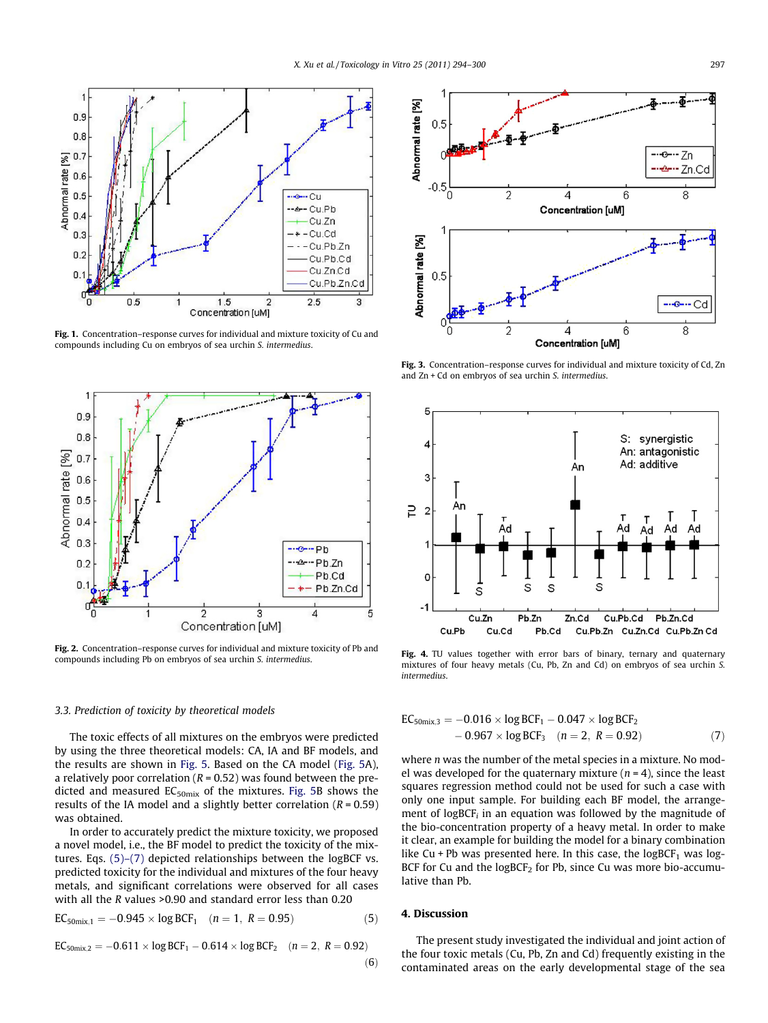<span id="page-3-0"></span>

Fig. 1. Concentration–response curves for individual and mixture toxicity of Cu and compounds including Cu on embryos of sea urchin S. intermedius.



Fig. 2. Concentration–response curves for individual and mixture toxicity of Pb and compounds including Pb on embryos of sea urchin S. intermedius.

## 3.3. Prediction of toxicity by theoretical models

The toxic effects of all mixtures on the embryos were predicted by using the three theoretical models: CA, IA and BF models, and the results are shown in [Fig. 5.](#page-4-0) Based on the CA model [\(Fig. 5](#page-4-0)A), a relatively poor correlation ( $R = 0.52$ ) was found between the predicted and measured  $EC_{50mix}$  of the mixtures. [Fig. 5](#page-4-0)B shows the results of the IA model and a slightly better correlation ( $R = 0.59$ ) was obtained.

In order to accurately predict the mixture toxicity, we proposed a novel model, i.e., the BF model to predict the toxicity of the mixtures. Eqs. (5)–(7) depicted relationships between the logBCF vs. predicted toxicity for the individual and mixtures of the four heavy metals, and significant correlations were observed for all cases with all the R values >0.90 and standard error less than 0.20

$$
EC_{50mix,1} = -0.945 \times \log BCF_1 \quad (n = 1, \ R = 0.95)
$$
 (5)

$$
EC_{50mix,2} = -0.611 \times \log BCF_1 - 0.614 \times \log BCF_2 \quad (n = 2, R = 0.92)
$$

Fig. 3. Concentration-response curves for individual and mixture toxicity of Cd, Zn and Zn + Cd on embryos of sea urchin S. intermedius.



Fig. 4. TU values together with error bars of binary, ternary and quaternary mixtures of four heavy metals (Cu, Pb, Zn and Cd) on embryos of sea urchin S. intermedius.

$$
EC_{50mix,3} = -0.016 \times \log BCF_1 - 0.047 \times \log BCF_2
$$
  
- 0.967 \times \log BCF\_3 (n = 2, R = 0.92) (7)

where *n* was the number of the metal species in a mixture. No model was developed for the quaternary mixture ( $n = 4$ ), since the least squares regression method could not be used for such a case with only one input sample. For building each BF model, the arrangement of logBCF $_i$  in an equation was followed by the magnitude of the bio-concentration property of a heavy metal. In order to make it clear, an example for building the model for a binary combination like Cu + Pb was presented here. In this case, the  $logBCF_1$  was log-BCF for Cu and the  $logBCF<sub>2</sub>$  for Pb, since Cu was more bio-accumulative than Pb.

## 4. Discussion

 $(6)$ 

The present study investigated the individual and joint action of the four toxic metals (Cu, Pb, Zn and Cd) frequently existing in the contaminated areas on the early developmental stage of the sea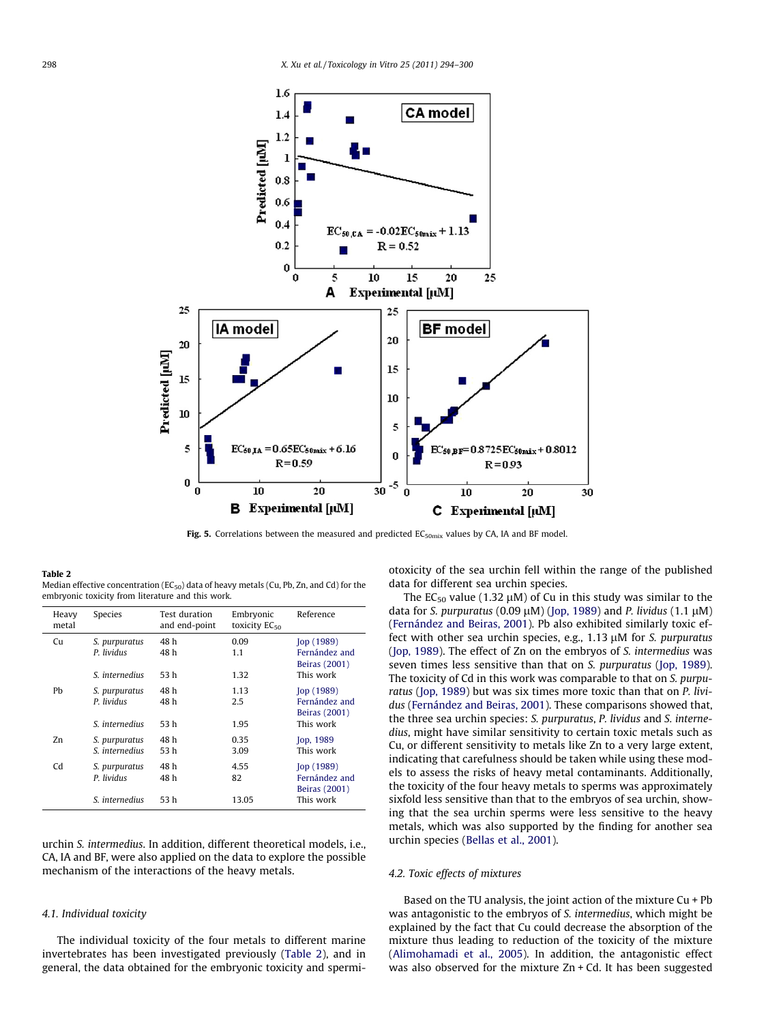<span id="page-4-0"></span>

Fig. 5. Correlations between the measured and predicted  $EC_{50mix}$  values by CA, IA and BF model.

#### Table 2

Median effective concentration ( $EC_{50}$ ) data of heavy metals (Cu, Pb, Zn, and Cd) for the embryonic toxicity from literature and this work.

| Heavy<br>metal | <b>Species</b>              | Test duration<br>and end-point | Embryonic<br>toxicity $EC_{50}$ | Reference                      |
|----------------|-----------------------------|--------------------------------|---------------------------------|--------------------------------|
| Cu             | S. purpuratus<br>P. lividus | 48 h<br>48 h                   | 0.09                            | [op(1989)]<br>Fernández and    |
|                |                             |                                | 1.1                             | Beiras (2001)                  |
|                | S. internedius              | 53 h                           | 1.32                            | This work                      |
| Ph             | S. purpuratus               | 48 h                           | 1.13                            | [op(1989)]                     |
|                | P. lividus                  | 48 h                           | 2.5                             | Fernández and<br>Beiras (2001) |
|                | S. internedius              | 53 h                           | 1.95                            | This work                      |
| Zn.            | S. purpuratus               | 48 h                           | 0.35                            | <b>Jop. 1989</b>               |
|                | S. internedius              | 53 h                           | 3.09                            | This work                      |
| Cd             | S. purpuratus               | 48 h                           | 4.55                            | [op(1989)]                     |
|                | P. lividus                  | 48 h                           | 82                              | Fernández and<br>Beiras (2001) |
|                | S. internedius              | 53 h                           | 13.05                           | This work                      |

urchin S. intermedius. In addition, different theoretical models, i.e., CA, IA and BF, were also applied on the data to explore the possible mechanism of the interactions of the heavy metals.

### 4.1. Individual toxicity

The individual toxicity of the four metals to different marine invertebrates has been investigated previously (Table 2), and in general, the data obtained for the embryonic toxicity and spermiotoxicity of the sea urchin fell within the range of the published data for different sea urchin species.

The  $EC_{50}$  value (1.32  $\mu$ M) of Cu in this study was similar to the data for S. purpuratus (0.09  $\mu$ M) ([Jop, 1989](#page-6-0)) and P. lividus (1.1  $\mu$ M) ([Fernández and Beiras, 2001\)](#page-6-0). Pb also exhibited similarly toxic effect with other sea urchin species, e.g.,  $1.13 \mu M$  for S. purpuratus ([Jop, 1989](#page-6-0)). The effect of Zn on the embryos of S. intermedius was seven times less sensitive than that on *S. purpuratus* ([Jop, 1989\)](#page-6-0). The toxicity of Cd in this work was comparable to that on S. purpu-ratus ([Jop, 1989](#page-6-0)) but was six times more toxic than that on P. lividus ([Fernández and Beiras, 2001\)](#page-6-0). These comparisons showed that, the three sea urchin species: S. purpuratus, P. lividus and S. internedius, might have similar sensitivity to certain toxic metals such as Cu, or different sensitivity to metals like Zn to a very large extent, indicating that carefulness should be taken while using these models to assess the risks of heavy metal contaminants. Additionally, the toxicity of the four heavy metals to sperms was approximately sixfold less sensitive than that to the embryos of sea urchin, showing that the sea urchin sperms were less sensitive to the heavy metals, which was also supported by the finding for another sea urchin species ([Bellas et al., 2001](#page-6-0)).

#### 4.2. Toxic effects of mixtures

Based on the TU analysis, the joint action of the mixture  $Cu + Pb$ was antagonistic to the embryos of S. intermedius, which might be explained by the fact that Cu could decrease the absorption of the mixture thus leading to reduction of the toxicity of the mixture ([Alimohamadi et al., 2005\)](#page-6-0). In addition, the antagonistic effect was also observed for the mixture Zn + Cd. It has been suggested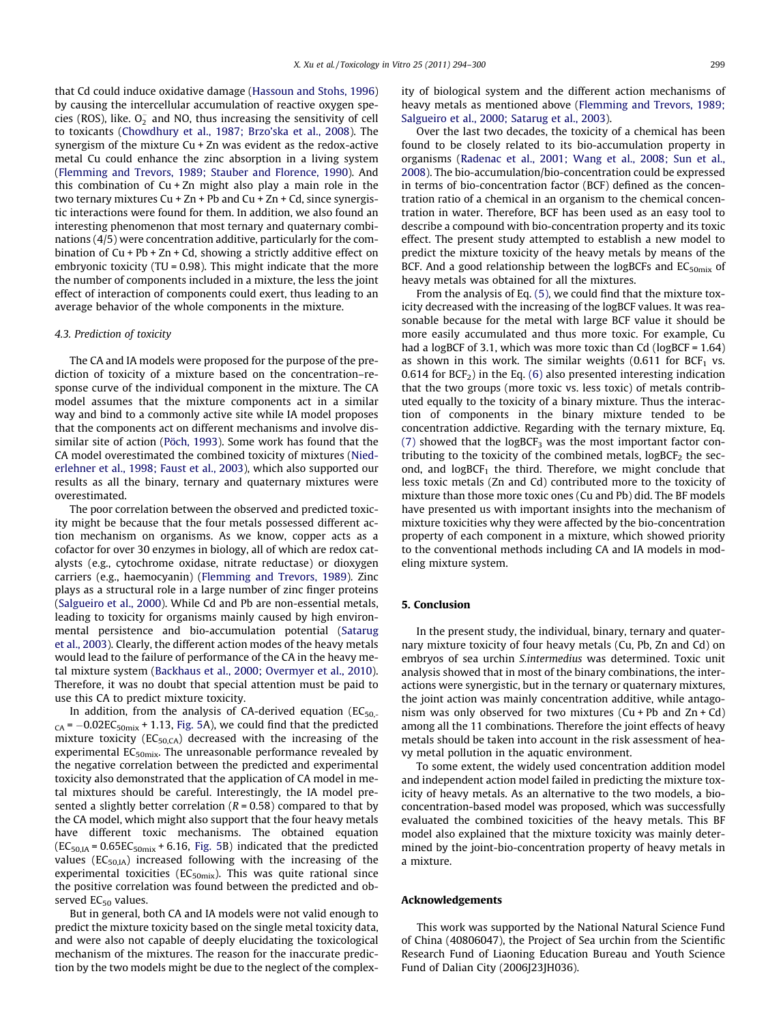that Cd could induce oxidative damage ([Hassoun and Stohs, 1996\)](#page-6-0) by causing the intercellular accumulation of reactive oxygen species (ROS), like.  $O_2^-$  and NO, thus increasing the sensitivity of cell to toxicants ([Chowdhury et al., 1987; Brzo'ska et al., 2008](#page-6-0)). The synergism of the mixture Cu + Zn was evident as the redox-active metal Cu could enhance the zinc absorption in a living system ([Flemming and Trevors, 1989; Stauber and Florence, 1990\)](#page-6-0). And this combination of Cu + Zn might also play a main role in the two ternary mixtures Cu + Zn + Pb and Cu + Zn + Cd, since synergistic interactions were found for them. In addition, we also found an interesting phenomenon that most ternary and quaternary combinations (4/5) were concentration additive, particularly for the combination of Cu + Pb + Zn + Cd, showing a strictly additive effect on embryonic toxicity (TU = 0.98). This might indicate that the more the number of components included in a mixture, the less the joint effect of interaction of components could exert, thus leading to an average behavior of the whole components in the mixture.

### 4.3. Prediction of toxicity

The CA and IA models were proposed for the purpose of the prediction of toxicity of a mixture based on the concentration–response curve of the individual component in the mixture. The CA model assumes that the mixture components act in a similar way and bind to a commonly active site while IA model proposes that the components act on different mechanisms and involve dissimilar site of action [\(Pöch, 1993](#page-6-0)). Some work has found that the CA model overestimated the combined toxicity of mixtures ([Nied](#page-6-0)[erlehner et al., 1998; Faust et al., 2003\)](#page-6-0), which also supported our results as all the binary, ternary and quaternary mixtures were overestimated.

The poor correlation between the observed and predicted toxicity might be because that the four metals possessed different action mechanism on organisms. As we know, copper acts as a cofactor for over 30 enzymes in biology, all of which are redox catalysts (e.g., cytochrome oxidase, nitrate reductase) or dioxygen carriers (e.g., haemocyanin) ([Flemming and Trevors, 1989\)](#page-6-0). Zinc plays as a structural role in a large number of zinc finger proteins ([Salgueiro et al., 2000\)](#page-6-0). While Cd and Pb are non-essential metals, leading to toxicity for organisms mainly caused by high environmental persistence and bio-accumulation potential [\(Satarug](#page-6-0) [et al., 2003](#page-6-0)). Clearly, the different action modes of the heavy metals would lead to the failure of performance of the CA in the heavy metal mixture system [\(Backhaus et al., 2000; Overmyer et al., 2010\)](#page-6-0). Therefore, it was no doubt that special attention must be paid to use this CA to predict mixture toxicity.

In addition, from the analysis of CA-derived equation ( $EC_{50}$  $_{CA}$  =  $-0.02EC_{50mix}$  + 1.13, [Fig. 5A](#page-4-0)), we could find that the predicted mixture toxicity ( $EC_{50,CA}$ ) decreased with the increasing of the experimental EC<sub>50mix</sub>. The unreasonable performance revealed by the negative correlation between the predicted and experimental toxicity also demonstrated that the application of CA model in metal mixtures should be careful. Interestingly, the IA model presented a slightly better correlation ( $R = 0.58$ ) compared to that by the CA model, which might also support that the four heavy metals have different toxic mechanisms. The obtained equation  $(EC<sub>50,IA</sub> = 0.65EC<sub>50mix</sub> + 6.16, Fig. 5B) indicated that the predicted$  $(EC<sub>50,IA</sub> = 0.65EC<sub>50mix</sub> + 6.16, Fig. 5B) indicated that the predicted$  $(EC<sub>50,IA</sub> = 0.65EC<sub>50mix</sub> + 6.16, Fig. 5B) indicated that the predicted$ values ( $EC_{50,IA}$ ) increased following with the increasing of the experimental toxicities ( $EC_{50mix}$ ). This was quite rational since the positive correlation was found between the predicted and observed  $EC_{50}$  values.

But in general, both CA and IA models were not valid enough to predict the mixture toxicity based on the single metal toxicity data, and were also not capable of deeply elucidating the toxicological mechanism of the mixtures. The reason for the inaccurate prediction by the two models might be due to the neglect of the complexity of biological system and the different action mechanisms of heavy metals as mentioned above [\(Flemming and Trevors, 1989;](#page-6-0) [Salgueiro et al., 2000; Satarug et al., 2003\)](#page-6-0).

Over the last two decades, the toxicity of a chemical has been found to be closely related to its bio-accumulation property in organisms [\(Radenac et al., 2001; Wang et al., 2008; Sun et al.,](#page-6-0) [2008](#page-6-0)). The bio-accumulation/bio-concentration could be expressed in terms of bio-concentration factor (BCF) defined as the concentration ratio of a chemical in an organism to the chemical concentration in water. Therefore, BCF has been used as an easy tool to describe a compound with bio-concentration property and its toxic effect. The present study attempted to establish a new model to predict the mixture toxicity of the heavy metals by means of the BCF. And a good relationship between the logBCFs and  $EC_{50mix}$  of heavy metals was obtained for all the mixtures.

From the analysis of Eq. [\(5\)](#page-3-0), we could find that the mixture toxicity decreased with the increasing of the logBCF values. It was reasonable because for the metal with large BCF value it should be more easily accumulated and thus more toxic. For example, Cu had a logBCF of 3.1, which was more toxic than Cd (logBCF = 1.64) as shown in this work. The similar weights  $(0.611$  for BCF<sub>1</sub> vs. 0.614 for  $BCF_2$ ) in the Eq. [\(6\)](#page-3-0) also presented interesting indication that the two groups (more toxic vs. less toxic) of metals contributed equally to the toxicity of a binary mixture. Thus the interaction of components in the binary mixture tended to be concentration addictive. Regarding with the ternary mixture, Eq. [\(7\)](#page-3-0) showed that the logBCF<sub>3</sub> was the most important factor contributing to the toxicity of the combined metals,  $logBCF<sub>2</sub>$  the second, and  $logBCF<sub>1</sub>$  the third. Therefore, we might conclude that less toxic metals (Zn and Cd) contributed more to the toxicity of mixture than those more toxic ones (Cu and Pb) did. The BF models have presented us with important insights into the mechanism of mixture toxicities why they were affected by the bio-concentration property of each component in a mixture, which showed priority to the conventional methods including CA and IA models in modeling mixture system.

### 5. Conclusion

In the present study, the individual, binary, ternary and quaternary mixture toxicity of four heavy metals (Cu, Pb, Zn and Cd) on embryos of sea urchin S.intermedius was determined. Toxic unit analysis showed that in most of the binary combinations, the interactions were synergistic, but in the ternary or quaternary mixtures, the joint action was mainly concentration additive, while antagonism was only observed for two mixtures  $(Cu + Pb$  and  $Zn + Cd)$ among all the 11 combinations. Therefore the joint effects of heavy metals should be taken into account in the risk assessment of heavy metal pollution in the aquatic environment.

To some extent, the widely used concentration addition model and independent action model failed in predicting the mixture toxicity of heavy metals. As an alternative to the two models, a bioconcentration-based model was proposed, which was successfully evaluated the combined toxicities of the heavy metals. This BF model also explained that the mixture toxicity was mainly determined by the joint-bio-concentration property of heavy metals in a mixture.

#### Acknowledgements

This work was supported by the National Natural Science Fund of China (40806047), the Project of Sea urchin from the Scientific Research Fund of Liaoning Education Bureau and Youth Science Fund of Dalian City (2006J23JH036).